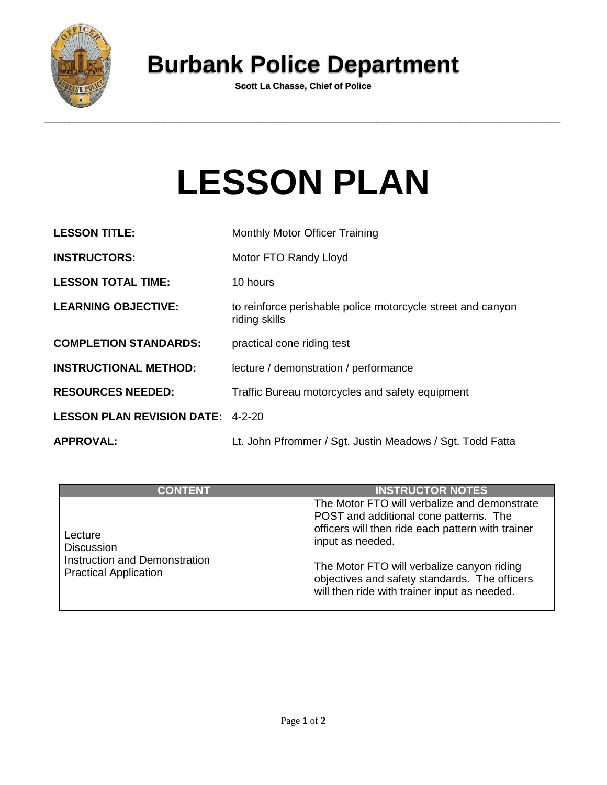

## **Burbank Police Department**

**Scott La Chasse, Chief of Police**

## **LESSON PLAN**

| <b>LESSON TITLE:</b>                     | Monthly Motor Officer Training                                               |
|------------------------------------------|------------------------------------------------------------------------------|
| <b>INSTRUCTORS:</b>                      | Motor FTO Randy Lloyd                                                        |
| <b>LESSON TOTAL TIME:</b>                | 10 hours                                                                     |
| <b>LEARNING OBJECTIVE:</b>               | to reinforce perishable police motorcycle street and canyon<br>riding skills |
| <b>COMPLETION STANDARDS:</b>             | practical cone riding test                                                   |
| <b>INSTRUCTIONAL METHOD:</b>             | lecture / demonstration / performance                                        |
| <b>RESOURCES NEEDED:</b>                 | Traffic Bureau motorcycles and safety equipment                              |
| <b>LESSON PLAN REVISION DATE: 4-2-20</b> |                                                                              |
| <b>APPROVAL:</b>                         | Lt. John Pfrommer / Sgt. Justin Meadows / Sgt. Todd Fatta                    |

| <b>CONTENT</b>                                                                                | <b>INSTRUCTOR NOTES</b>                                                                                                                                                                                                                                                                                        |
|-----------------------------------------------------------------------------------------------|----------------------------------------------------------------------------------------------------------------------------------------------------------------------------------------------------------------------------------------------------------------------------------------------------------------|
| Lecture<br><b>Discussion</b><br>Instruction and Demonstration<br><b>Practical Application</b> | The Motor FTO will verbalize and demonstrate<br>POST and additional cone patterns. The<br>officers will then ride each pattern with trainer<br>input as needed.<br>The Motor FTO will verbalize canyon riding<br>objectives and safety standards. The officers<br>will then ride with trainer input as needed. |